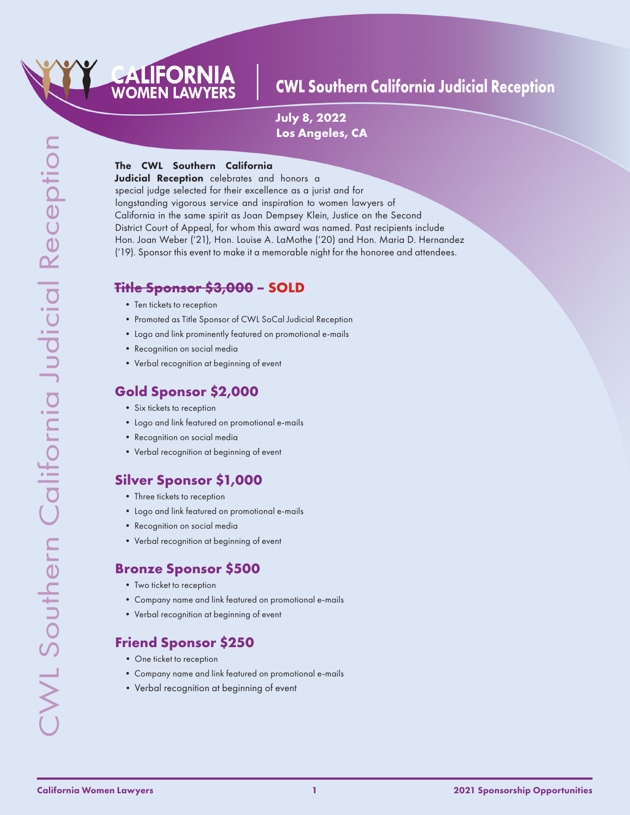

**July 8, 2022 Los Angeles, CA**

#### The CWL Southern California

CALIFORNIA **WOMEN LAWYERS** 

Judicial Reception celebrates and honors a special judge selected for their excellence as a jurist and for longstanding vigorous service and inspiration to women lawyers of California in the same spirit as Joan Dempsey Klein, Justice on the Second District Court of Appeal, for whom this award was named. Past recipients include Hon. Joan Weber ('21), Hon. Louise A. LaMothe ('20) and Hon. Maria D. Hernandez ('19). Sponsor this event to make it a memorable night for the honoree and attendees.

### **Title Sponsor \$3,000 – SOLD**

- Ten tickets to reception
- Promoted as Title Sponsor of CWL SoCal Judicial Reception
- Logo and link prominently featured on promotional e-mails
- Recognition on social media
- Verbal recognition at beginning of event

### **Gold Sponsor \$2,000**

- Six tickets to reception
- Logo and link featured on promotional e-mails
- Recognition on social media
- Verbal recognition at beginning of event

### **Silver Sponsor \$1,000**

- Three tickets to reception
- Logo and link featured on promotional e-mails
- Recognition on social media
- Verbal recognition at beginning of event

### **Bronze Sponsor \$500**

- Two ticket to reception
- Company name and link featured on promotional e-mails
- Verbal recognition at beginning of event

# **Friend Sponsor \$250**

- One ticket to reception
- Company name and link featured on promotional e-mails
- Verbal recognition at beginning of event